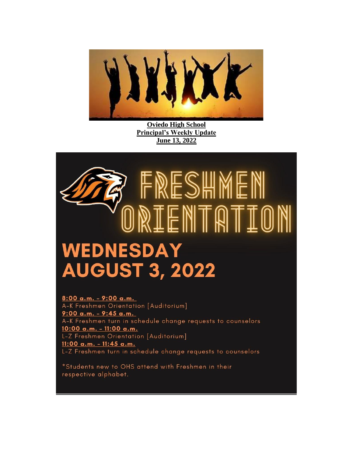

**Oviedo High School Principal's Weekly Update June 13, 2022**



8:00 a.m. - 9:00 a.m. A-K Freshmen Orientation [Auditorium] 9:00 a.m. - 9:45 a.m. A-K Freshmen turn in schedule change requests to counselors 10:00 a.m. - 11:00 a.m. L-Z Freshmen Orientation [Auditorium] 11:00 a.m. - 11:45 a.m. L-Z Freshmen turn in schedule change requests to counselors

\*Students new to OHS attend with Freshmen in their respective alphabet.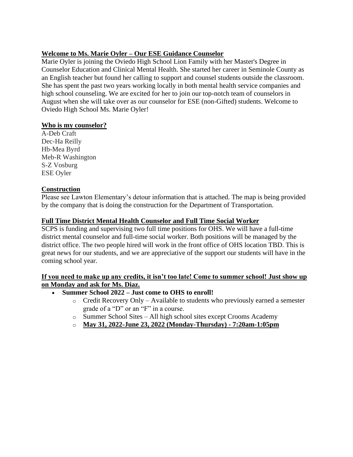# **Welcome to Ms. Marie Oyler – Our ESE Guidance Counselor**

Marie Oyler is joining the Oviedo High School Lion Family with her Master's Degree in Counselor Education and Clinical Mental Health. She started her career in Seminole County as an English teacher but found her calling to support and counsel students outside the classroom. She has spent the past two years working locally in both mental health service companies and high school counseling. We are excited for her to join our top-notch team of counselors in August when she will take over as our counselor for ESE (non-Gifted) students. Welcome to Oviedo High School Ms. Marie Oyler!

#### **Who is my counselor?**

A-Deb Craft Dec-Ha Reilly Hb-Mea Byrd Meb-R Washington S-Z Vosburg ESE Oyler

## **Construction**

Please see Lawton Elementary's detour information that is attached. The map is being provided by the company that is doing the construction for the Department of Transportation.

## **Full Time District Mental Health Counselor and Full Time Social Worker**

SCPS is funding and supervising two full time positions for OHS. We will have a full-time district mental counselor and full-time social worker. Both positions will be managed by the district office. The two people hired will work in the front office of OHS location TBD. This is great news for our students, and we are appreciative of the support our students will have in the coming school year.

#### **If you need to make up any credits, it isn't too late! Come to summer school! Just show up on Monday and ask for Ms. Diaz.**

- **Summer School 2022 – Just come to OHS to enroll!**
	- o Credit Recovery Only Available to students who previously earned a semester grade of a "D" or an "F" in a course.
	- o Summer School Sites All high school sites except Crooms Academy
	- o **May 31, 2022-June 23, 2022 (Monday-Thursday) - 7:20am-1:05pm**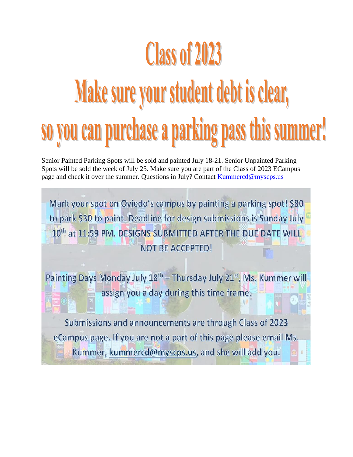# **Class of 2023** Make sure your student debt is clear, so you can purchase a parking pass this summer!

Senior Painted Parking Spots will be sold and painted July 18-21. Senior Unpainted Parking Spots will be sold the week of July 25. Make sure you are part of the Class of 2023 ECampus page and check it over the summer. Questions in July? Contact Kummercd@myscps.us

Mark your spot on Oviedo's campus by painting a parking spot! \$80 to park \$30 to paint. Deadline for design submissions is Sunday July 10th at 11:59 PM. DESIGNS SUBMITTED AFTER THE DUE DATE WILL **NOT BE ACCEPTED!** 

Painting Days Monday July 18<sup>th</sup> - Thursday July 21<sup>st</sup>, Ms. Kummer will assign you a day during this time frame.

Submissions and announcements are through Class of 2023 eCampus page. If you are not a part of this page please email Ms. Kummer, kummercd@myscps.us, and she will add you.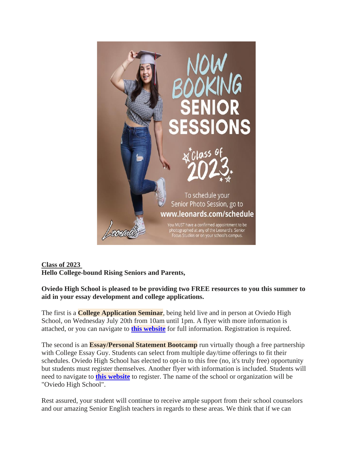

# **Class of 2023 Hello College-bound Rising Seniors and Parents,**

**Oviedo High School is pleased to be providing two FREE resources to you this summer to aid in your essay development and college applications.**

The first is a **College Application Seminar**, being held live and in person at Oviedo High School, on Wednesday July 20th from 10am until 1pm. A flyer with more information is attached, or you can navigate to **this [website](https://nam10.safelinks.protection.outlook.com/?url=http%3A%2F%2Ftrack.spe.schoolmessenger.com%2Ff%2Fa%2FxSaz0ASJTIO3aZ6NazDQyw~~%2FAAAAAQA~%2FRgRkX-HtP0RJaHR0cHM6Ly9zaXRlcy5nb29nbGUuY29tL215c2Nwcy51cy9vaHN2b3NidXJnL2NvbGxlZ2UtYXBwbGljYXRpb24tc2VtaW5hclcHc2Nob29sbUIKYm9trn5i2rjPt1IebGF1cmVuX3NjaG9tbWVyQHNjcHMuazEyLmZsLnVzWAQAAAAB&data=05%7C01%7Ctrent_daniel%40scps.k12.fl.us%7C412b27c39b8040f59e7e08da3515522a%7Cd1e9e6b2778e48e5a961e9836af08827%7C0%7C0%7C637880664648897289%7CUnknown%7CTWFpbGZsb3d8eyJWIjoiMC4wLjAwMDAiLCJQIjoiV2luMzIiLCJBTiI6Ik1haWwiLCJXVCI6Mn0%3D%7C3000%7C%7C%7C&sdata=7J63B5eS2uiehJH%2BAoAJBc%2FOm%2B4s5ypPG1rfF67NpdU%3D&reserved=0)** for full information. Registration is required.

The second is an **Essay/Personal Statement Bootcamp** run virtually though a free partnership with College Essay Guy. Students can select from multiple day/time offerings to fit their schedules. Oviedo High School has elected to opt-in to this free (no, it's truly free) opportunity but students must register themselves. Another flyer with information is included. Students will need to navigate to **this [website](https://nam10.safelinks.protection.outlook.com/?url=http%3A%2F%2Ftrack.spe.schoolmessenger.com%2Ff%2Fa%2FaBLIzGlS80UuhneSUYIitg~~%2FAAAAAQA~%2FRgRkX-HtP0Q1aHR0cHM6Ly93d3cuY29sbGVnZWVzc2F5Z3V5LmNvbS9zdWItY2VnLWxpdmUtc3R1ZGVudHNXB3NjaG9vbG1CCmJvba5-Ytq4z7dSHmxhdXJlbl9zY2hvbW1lckBzY3BzLmsxMi5mbC51c1gEAAAAAQ~~&data=05%7C01%7Ctrent_daniel%40scps.k12.fl.us%7C412b27c39b8040f59e7e08da3515522a%7Cd1e9e6b2778e48e5a961e9836af08827%7C0%7C0%7C637880664648897289%7CUnknown%7CTWFpbGZsb3d8eyJWIjoiMC4wLjAwMDAiLCJQIjoiV2luMzIiLCJBTiI6Ik1haWwiLCJXVCI6Mn0%3D%7C3000%7C%7C%7C&sdata=cRdVKlPHaWkmELx2DohVAUG4ggJMw3OlENzfLv64%2B1c%3D&reserved=0)** to register. The name of the school or organization will be "Oviedo High School".

Rest assured, your student will continue to receive ample support from their school counselors and our amazing Senior English teachers in regards to these areas. We think that if we can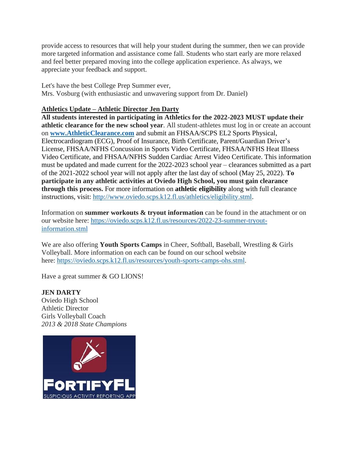provide access to resources that will help your student during the summer, then we can provide more targeted information and assistance come fall. Students who start early are more relaxed and feel better prepared moving into the college application experience. As always, we appreciate your feedback and support.

Let's have the best College Prep Summer ever, Mrs. Vosburg (with enthusiastic and unwavering support from Dr. Daniel)

### **Athletics Update – Athletic Director Jen Darty**

**All students interested in participating in Athletics for the 2022-2023 MUST update their athletic clearance for the new school year**. All student-athletes must log in or create an account on **[www.AthleticClearance.com](https://nam10.safelinks.protection.outlook.com/?url=http%3A%2F%2Fwww.athleticclearance.com%2F&data=05%7C01%7Ctrent_daniel%40scps.k12.fl.us%7C6e9c80d3b18a46a31f0408da38ef6ea8%7Cd1e9e6b2778e48e5a961e9836af08827%7C0%7C0%7C637884898403079520%7CUnknown%7CTWFpbGZsb3d8eyJWIjoiMC4wLjAwMDAiLCJQIjoiV2luMzIiLCJBTiI6Ik1haWwiLCJXVCI6Mn0%3D%7C3000%7C%7C%7C&sdata=0H8RQ%2FGXHDERtW5bXpQV%2FfbtgYONjtcL81xSfAgnmq4%3D&reserved=0)** and submit an FHSAA/SCPS EL2 Sports Physical, Electrocardiogram (ECG), Proof of Insurance, Birth Certificate, Parent/Guardian Driver's License, FHSAA/NFHS Concussion in Sports Video Certificate, FHSAA/NFHS Heat Illness Video Certificate, and FHSAA/NFHS Sudden Cardiac Arrest Video Certificate. This information must be updated and made current for the 2022-2023 school year – clearances submitted as a part of the 2021-2022 school year will not apply after the last day of school (May 25, 2022). **To participate in any athletic activities at Oviedo High School, you must gain clearance through this process.** For more information on **athletic eligibility** along with full clearance instructions, visit: [http://www.oviedo.scps.k12.fl.us/athletics/eligibility.stml.](http://www.oviedo.scps.k12.fl.us/athletics/eligibility.stml)

Information on **summer workouts & tryout information** can be found in the attachment or on our website here: [https://oviedo.scps.k12.fl.us/resources/2022-23-summer-tryout](https://oviedo.scps.k12.fl.us/resources/2022-23-summer-tryout-information.stml)[information.stml](https://oviedo.scps.k12.fl.us/resources/2022-23-summer-tryout-information.stml)

We are also offering **Youth Sports Camps** in Cheer, Softball, Baseball, Wrestling & Girls Volleyball. More information on each can be found on our school website here: [https://oviedo.scps.k12.fl.us/resources/youth-sports-camps-ohs.stml.](https://oviedo.scps.k12.fl.us/resources/youth-sports-camps-ohs.stml)

Have a great summer & GO LIONS!

## **JEN DARTY**

Oviedo High School Athletic Director Girls Volleyball Coach *2013 & 2018 State Champions*